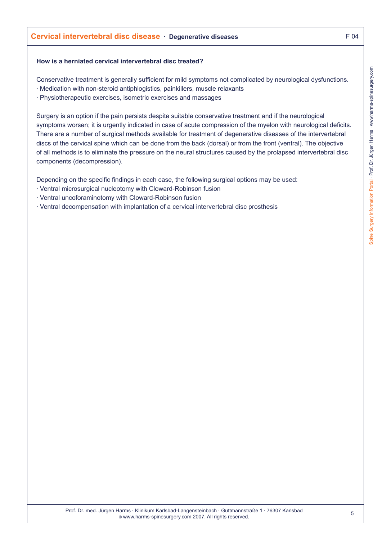## **How is a herniated cervical intervertebral disc treated?**

Conservative treatment is generally sufficient for mild symptoms not complicated by neurological dysfunctions.

- · Medication with non-steroid antiphlogistics, painkillers, muscle relaxants
- · Physiotherapeutic exercises, isometric exercises and massages

Surgery is an option if the pain persists despite suitable conservative treatment and if the neurological symptoms worsen; it is urgently indicated in case of acute compression of the myelon with neurological deficits. There are a number of surgical methods available for treatment of degenerative diseases of the intervertebral discs of the cervical spine which can be done from the back (dorsal) or from the front (ventral). The objective of all methods is to eliminate the pressure on the neural structures caused by the prolapsed intervertebral disc components (decompression).

Depending on the specific findings in each case, the following surgical options may be used:

- · Ventral microsurgical nucleotomy with Cloward-Robinson fusion
- · Ventral uncoforaminotomy with Cloward-Robinson fusion
- · Ventral decompensation with implantation of a cervical intervertebral disc prosthesis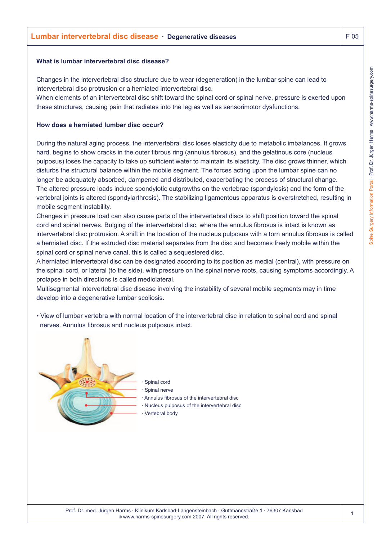## **What is lumbar intervertebral disc disease?**

Changes in the intervertebral disc structure due to wear (degeneration) in the lumbar spine can lead to intervertebral disc protrusion or a herniated intervertebral disc.

When elements of an intervertebral disc shift toward the spinal cord or spinal nerve, pressure is exerted upon these structures, causing pain that radiates into the leg as well as sensorimotor dysfunctions.

## **How does a herniated lumbar disc occur?**

During the natural aging process, the intervertebral disc loses elasticity due to metabolic imbalances. It grows hard, begins to show cracks in the outer fibrous ring (annulus fibrosus), and the gelatinous core (nucleus pulposus) loses the capacity to take up sufficient water to maintain its elasticity. The disc grows thinner, which disturbs the structural balance within the mobile segment. The forces acting upon the lumbar spine can no longer be adequately absorbed, dampened and distributed, exacerbating the process of structural change. The altered pressure loads induce spondylotic outgrowths on the vertebrae (spondylosis) and the form of the vertebral joints is altered (spondylarthrosis). The stabilizing ligamentous apparatus is overstretched, resulting in mobile segment instability.

Changes in pressure load can also cause parts of the intervertebral discs to shift position toward the spinal cord and spinal nerves. Bulging of the intervertebral disc, where the annulus fibrosus is intact is known as intervertebral disc protrusion. A shift in the location of the nucleus pulposus with a torn annulus fibrosus is called a herniated disc. If the extruded disc material separates from the disc and becomes freely mobile within the spinal cord or spinal nerve canal, this is called a sequestered disc.

A herniated intervertebral disc can be designated according to its position as medial (central), with pressure on the spinal cord, or lateral (to the side), with pressure on the spinal nerve roots, causing symptoms accordingly. A prolapse in both directions is called mediolateral.

Multisegmental intervertebral disc disease involving the instability of several mobile segments may in time develop into a degenerative lumbar scoliosis.

• View of lumbar vertebra with normal location of the intervertebral disc in relation to spinal cord and spinal nerves. Annulus fibrosus and nucleus pulposus intact.



Spinal cord

- Spinal nerve
- · Annulus fibrosus of the intervertebral disc
- · Nucleus pulposus of the intervertebral disc Vertebral body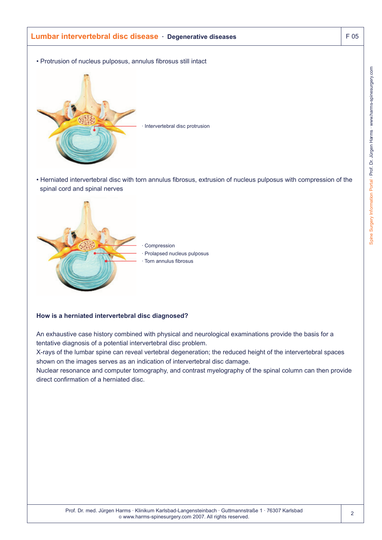# **Lumbar intervertebral disc disease · Degenerative diseases** F 05

• Protrusion of nucleus pulposus, annulus fibrosus still intact



Intervertebral disc protrusion

• Herniated intervertebral disc with torn annulus fibrosus, extrusion of nucleus pulposus with compression of the spinal cord and spinal nerves



#### **How is a herniated intervertebral disc diagnosed?**

An exhaustive case history combined with physical and neurological examinations provide the basis for a tentative diagnosis of a potential intervertebral disc problem.

X-rays of the lumbar spine can reveal vertebral degeneration; the reduced height of the intervertebral spaces shown on the images serves as an indication of intervertebral disc damage.

Nuclear resonance and computer tomography, and contrast myelography of the spinal column can then provide direct confirmation of a herniated disc.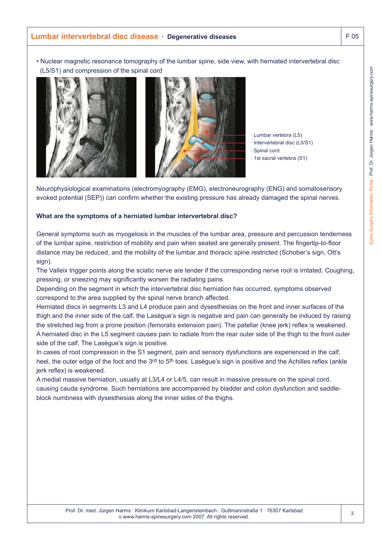• Nuclear magnetic resonance tomography of the lumbar spine, side view, with herniated intervertebral disc (L5/S1) and compression of the spinal cord



· Lumbar vertebra (L5)

- · Intervertebral disc (L5/S1)
- · Spinal cord
- · 1st sacral vertebra (S1)

Neurophysiological examinations (electromyography (EMG), electroneurography (ENG) and somatosensory evoked potential (SEP)) can confirm whether the existing pressure has already damaged the spinal nerves.

#### **What are the symptoms of a herniated lumbar intervertebral disc?**

General symptoms such as myogelosis in the muscles of the lumbar area, pressure and percussion tenderness of the lumbar spine, restriction of mobility and pain when seated are generally present. The fingertip-to-floor distance may be reduced, and the mobility of the lumbar and thoracic spine restricted (Schober's sign, Ott's sign).

The Valleix trigger points along the sciatic nerve are tender if the corresponding nerve root is irritated. Coughing, pressing, or sneezing may significantly worsen the radiating pains.

Depending on the segment in which the intervertebral disc herniation has occurred, symptoms observed correspond to the area supplied by the spinal nerve branch affected.

Herniated discs in segments L3 and L4 produce pain and dysesthesias on the front and inner surfaces of the thigh and the inner side of the calf, the Lasègue's sign is negative and pain can generally be induced by raising the stretched leg from a prone position (femoralis extension pain). The patellar (knee jerk) reflex is weakened. A herniated disc in the L5 segment causes pain to radiate from the rear outer side of the thigh to the front outer side of the calf. The Lasègue's sign is positive.

In cases of root compression in the S1 segment, pain and sensory dysfunctions are experienced in the calf, heel, the outer edge of the foot and the 3rd to 5<sup>th</sup> toes. Lasègue's sign is positive and the Achilles reflex (ankle jerk reflex) is weakened.

A medial massive herniation, usually at L3/L4 or L4/5, can result in massive pressure on the spinal cord, causing cauda syndrome. Such herniations are accompanied by bladder and colon dysfunction and saddleblock numbness with dysesthesias along the inner sides of the thighs.